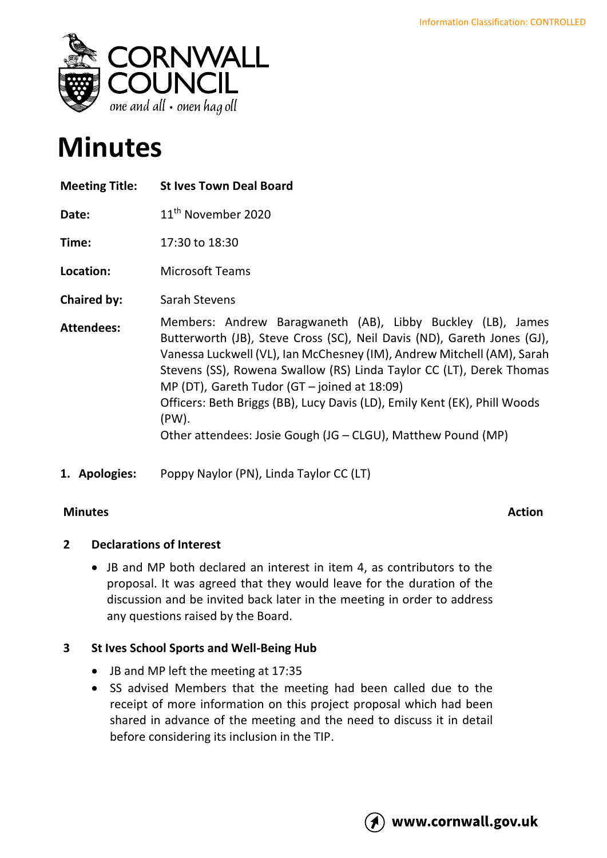

# **Minutes**

| <b>Meeting Title:</b> | <b>St Ives Town Deal Board</b>                                                                                                                                                                                                                                                                                                                                                                                                                                                                   |
|-----------------------|--------------------------------------------------------------------------------------------------------------------------------------------------------------------------------------------------------------------------------------------------------------------------------------------------------------------------------------------------------------------------------------------------------------------------------------------------------------------------------------------------|
| Date:                 | 11 <sup>th</sup> November 2020                                                                                                                                                                                                                                                                                                                                                                                                                                                                   |
| Time:                 | 17:30 to 18:30                                                                                                                                                                                                                                                                                                                                                                                                                                                                                   |
| Location:             | <b>Microsoft Teams</b>                                                                                                                                                                                                                                                                                                                                                                                                                                                                           |
| <b>Chaired by:</b>    | Sarah Stevens                                                                                                                                                                                                                                                                                                                                                                                                                                                                                    |
| <b>Attendees:</b>     | Members: Andrew Baragwaneth (AB), Libby Buckley (LB), James<br>Butterworth (JB), Steve Cross (SC), Neil Davis (ND), Gareth Jones (GJ),<br>Vanessa Luckwell (VL), Ian McChesney (IM), Andrew Mitchell (AM), Sarah<br>Stevens (SS), Rowena Swallow (RS) Linda Taylor CC (LT), Derek Thomas<br>MP (DT), Gareth Tudor (GT $-$ joined at 18:09)<br>Officers: Beth Briggs (BB), Lucy Davis (LD), Emily Kent (EK), Phill Woods<br>(PW).<br>Other attendees: Josie Gough (JG - CLGU), Matthew Pound (MP) |

**1. Apologies:** Poppy Naylor (PN), Linda Taylor CC (LT)

### **Minutes Action**

### **2 Declarations of Interest**

• JB and MP both declared an interest in item 4, as contributors to the proposal. It was agreed that they would leave for the duration of the discussion and be invited back later in the meeting in order to address any questions raised by the Board.

## **3 St Ives School Sports and Well-Being Hub**

- JB and MP left the meeting at 17:35
- SS advised Members that the meeting had been called due to the receipt of more information on this project proposal which had been shared in advance of the meeting and the need to discuss it in detail before considering its inclusion in the TIP.

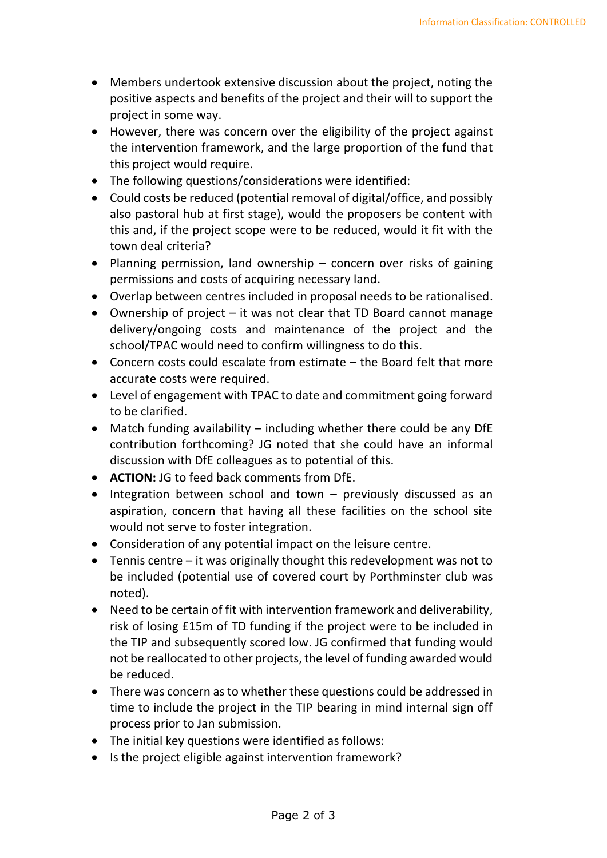- Members undertook extensive discussion about the project, noting the positive aspects and benefits of the project and their will to support the project in some way.
- However, there was concern over the eligibility of the project against the intervention framework, and the large proportion of the fund that this project would require.
- The following questions/considerations were identified:
- Could costs be reduced (potential removal of digital/office, and possibly also pastoral hub at first stage), would the proposers be content with this and, if the project scope were to be reduced, would it fit with the town deal criteria?
- Planning permission, land ownership concern over risks of gaining permissions and costs of acquiring necessary land.
- Overlap between centres included in proposal needs to be rationalised.
- Ownership of project it was not clear that TD Board cannot manage delivery/ongoing costs and maintenance of the project and the school/TPAC would need to confirm willingness to do this.
- Concern costs could escalate from estimate the Board felt that more accurate costs were required.
- Level of engagement with TPAC to date and commitment going forward to be clarified.
- Match funding availability including whether there could be any DfE contribution forthcoming? JG noted that she could have an informal discussion with DfE colleagues as to potential of this.
- **ACTION:** JG to feed back comments from DfE.
- Integration between school and town previously discussed as an aspiration, concern that having all these facilities on the school site would not serve to foster integration.
- Consideration of any potential impact on the leisure centre.
- Tennis centre it was originally thought this redevelopment was not to be included (potential use of covered court by Porthminster club was noted).
- Need to be certain of fit with intervention framework and deliverability, risk of losing £15m of TD funding if the project were to be included in the TIP and subsequently scored low. JG confirmed that funding would not be reallocated to other projects, the level of funding awarded would be reduced.
- There was concern as to whether these questions could be addressed in time to include the project in the TIP bearing in mind internal sign off process prior to Jan submission.
- The initial key questions were identified as follows:
- Is the project eligible against intervention framework?